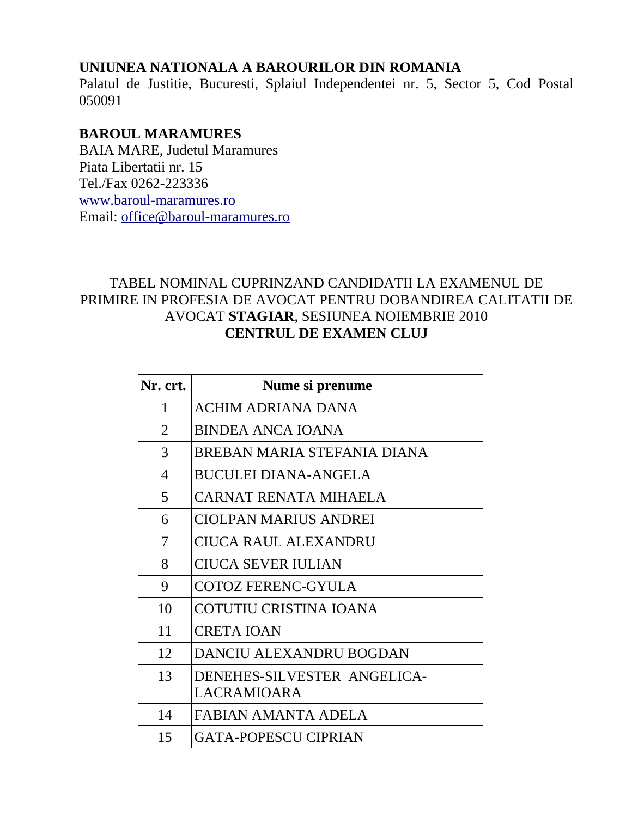## **UNIUNEA NATIONALA A BAROURILOR DIN ROMANIA**

Palatul de Justitie, Bucuresti, Splaiul Independentei nr. 5, Sector 5, Cod Postal 050091

## **BAROUL MARAMURES**

BAIA MARE, Judetul Maramures Piata Libertatii nr. 15 Tel./Fax 0262-223336 [www.baroul-maramures.ro](http://www.baroul-maramures.ro/) Email: [office@baroul-maramures.ro](mailto:office@baroul-maramures.ro)

## TABEL NOMINAL CUPRINZAND CANDIDATII LA EXAMENUL DE PRIMIRE IN PROFESIA DE AVOCAT PENTRU DOBANDIREA CALITATII DE AVOCAT **STAGIAR**, SESIUNEA NOIEMBRIE 2010 **CENTRUL DE EXAMEN CLUJ**

| Nr. crt.                 | Nume si prenume                                   |
|--------------------------|---------------------------------------------------|
| $\mathbf{1}$             | ACHIM ADRIANA DANA                                |
| $\overline{2}$           | <b>BINDEA ANCA IOANA</b>                          |
| 3                        | BREBAN MARIA STEFANIA DIANA                       |
| $\overline{\mathcal{A}}$ | <b>BUCULEI DIANA-ANGELA</b>                       |
| 5                        | <b>CARNAT RENATA MIHAELA</b>                      |
| 6                        | <b>CIOLPAN MARIUS ANDREI</b>                      |
| 7                        | CIUCA RAUL ALEXANDRU                              |
| 8                        | <b>CIUCA SEVER IULIAN</b>                         |
| 9                        | <b>COTOZ FERENC-GYULA</b>                         |
| 10                       | <b>COTUTIU CRISTINA IOANA</b>                     |
| 11                       | <b>CRETA IOAN</b>                                 |
| 12                       | DANCIU ALEXANDRU BOGDAN                           |
| 13                       | DENEHES-SILVESTER ANGELICA-<br><b>LACRAMIOARA</b> |
| 14                       | FABIAN AMANTA ADELA                               |
| 15                       | <b>GATA-POPESCU CIPRIAN</b>                       |